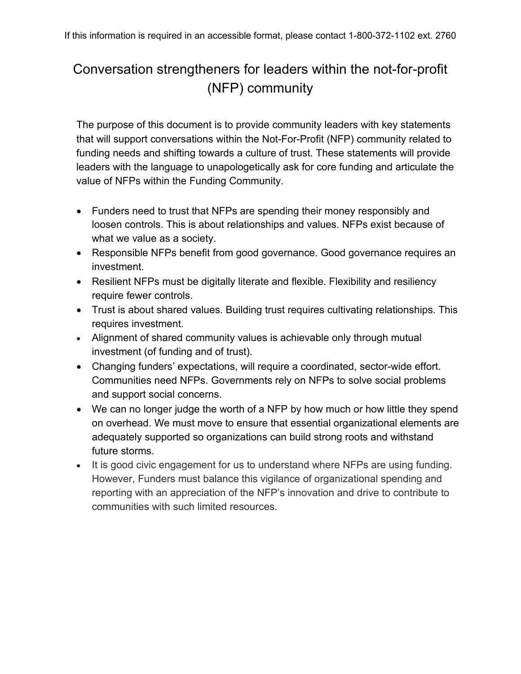## Conversation strengtheners for leaders within the not-for-profit (NFP) community

The purpose of this document is to provide community leaders with key statements that will support conversations within the Not-For-Profit (NFP) community related to funding needs and shifting towards a culture of trust. These statements will provide leaders with the language to unapologetically ask for core funding and articulate the value of NFPs within the Funding Community.

- Funders need to trust that NFPs are spending their money responsibly and loosen controls. This is about relationships and values. NFPs exist because of what we value as a society.
- Responsible NFPs benefit from good governance. Good governance requires an investment.
- Resilient NFPs must be digitally literate and flexible. Flexibility and resiliency require fewer controls.
- Trust is about shared values. Building trust requires cultivating relationships. This requires investment.
- Alignment of shared community values is achievable only through mutual investment (of funding and of trust).
- Changing funders' expectations, will require a coordinated, sector-wide effort. Communities need NFPs. Governments rely on NFPs to solve social problems and support social concerns.
- We can no longer judge the worth of a NFP by how much or how little they spend on overhead. We must move to ensure that essential organizational elements are adequately supported so organizations can build strong roots and withstand future storms.
- It is good civic engagement for us to understand where NFPs are using funding. However, Funders must balance this vigilance of organizational spending and reporting with an appreciation of the NFP's innovation and drive to contribute to communities with such limited resources.